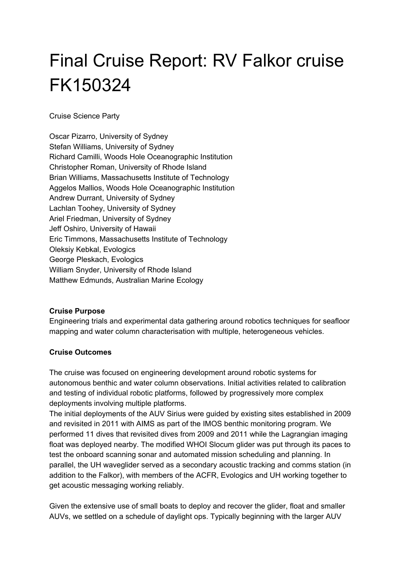# Final Cruise Report: RV Falkor cruise FK150324

Cruise Science Party

Oscar Pizarro, University of Sydney Stefan Williams, University of Sydney Richard Camilli, Woods Hole Oceanographic Institution Christopher Roman, University of Rhode Island Brian Williams, Massachusetts Institute of Technology Aggelos Mallios, Woods Hole Oceanographic Institution Andrew Durrant, University of Sydney Lachlan Toohey, University of Sydney Ariel Friedman, University of Sydney Jeff Oshiro, University of Hawaii Eric Timmons, Massachusetts Institute of Technology Oleksiy Kebkal, Evologics George Pleskach, Evologics William Snyder, University of Rhode Island Matthew Edmunds, Australian Marine Ecology

#### **Cruise Purpose**

Engineering trials and experimental data gathering around robotics techniques for seafloor mapping and water column characterisation with multiple, heterogeneous vehicles.

#### **Cruise Outcomes**

The cruise was focused on engineering development around robotic systems for autonomous benthic and water column observations. Initial activities related to calibration and testing of individual robotic platforms, followed by progressively more complex deployments involving multiple platforms.

The initial deployments of the AUV Sirius were guided by existing sites established in 2009 and revisited in 2011 with AIMS as part of the IMOS benthic monitoring program. We performed 11 dives that revisited dives from 2009 and 2011 while the Lagrangian imaging float was deployed nearby. The modified WHOI Slocum glider was put through its paces to test the onboard scanning sonar and automated mission scheduling and planning. In parallel, the UH waveglider served as a secondary acoustic tracking and comms station (in addition to the Falkor), with members of the ACFR, Evologics and UH working together to get acoustic messaging working reliably.

Given the extensive use of small boats to deploy and recover the glider, float and smaller AUVs, we settled on a schedule of daylight ops. Typically beginning with the larger AUV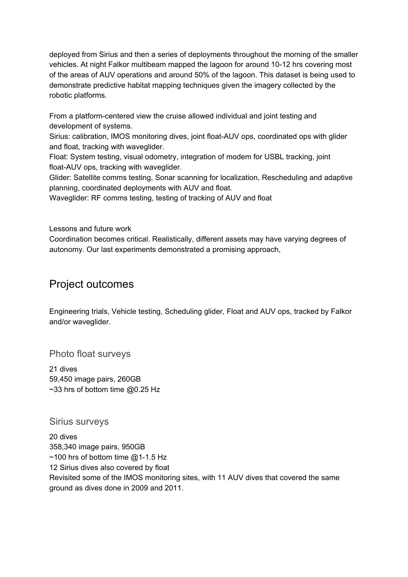deployed from Sirius and then a series of deployments throughout the morning of the smaller vehicles. At night Falkor multibeam mapped the lagoon for around 10-12 hrs covering most of the areas of AUV operations and around 50% of the lagoon. This dataset is being used to demonstrate predictive habitat mapping techniques given the imagery collected by the robotic platforms.

From a platform-centered view the cruise allowed individual and joint testing and development of systems.

Sirius: calibration, IMOS monitoring dives, joint float-AUV ops, coordinated ops with glider and float, tracking with waveglider.

Float: System testing, visual odometry, integration of modem for USBL tracking, joint float-AUV ops, tracking with waveglider.

Glider: Satellite comms testing, Sonar scanning for localization, Rescheduling and adaptive planning, coordinated deployments with AUV and float.

Waveglider: RF comms testing, testing of tracking of AUV and float

Lessons and future work

Coordination becomes critical. Realistically, different assets may have varying degrees of autonomy. Our last experiments demonstrated a promising approach,

## Project outcomes

Engineering trials, Vehicle testing, Scheduling glider, Float and AUV ops, tracked by Falkor and/or waveglider.

Photo float surveys

21 dives 59,450 image pairs, 260GB  $\sim$ 33 hrs of bottom time @0.25 Hz

Sirius surveys

20 dives 358,340 image pairs, 950GB  $\sim$ 100 hrs of bottom time @1-1.5 Hz 12 Sirius dives also covered by float Revisited some of the IMOS monitoring sites, with 11 AUV dives that covered the same ground as dives done in 2009 and 2011.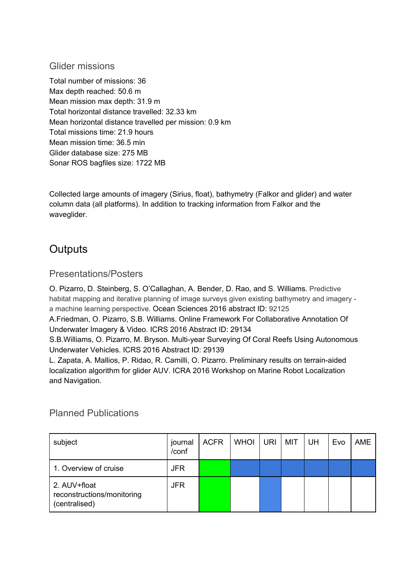## Glider missions

Total number of missions: 36 Max depth reached: 50.6 m Mean mission max depth: 31.9 m Total horizontal distance travelled: 32.33 km Mean horizontal distance travelled per mission: 0.9 km Total missions time: 21.9 hours Mean mission time: 36.5 min Glider database size: 275 MB Sonar ROS bagfiles size: 1722 MB

Collected large amounts of imagery (Sirius, float), bathymetry (Falkor and glider) and water column data (all platforms). In addition to tracking information from Falkor and the waveglider.

# **Outputs**

## Presentations/Posters

O. Pizarro, D. Steinberg, S. O'Callaghan, A. Bender, D. Rao, and S. Williams. Predictive habitat mapping and iterative planning of image surveys given existing bathymetry and imagery a machine learning perspective. Ocean Sciences 2016 abstract ID: 92125

A.Friedman, O. Pizarro, S.B. Williams. Online Framework For Collaborative Annotation Of Underwater Imagery & Video. ICRS 2016 Abstract ID: 29134

S.B.Williams, O. Pizarro, M. Bryson. Multi-year Surveying Of Coral Reefs Using Autonomous Underwater Vehicles. ICRS 2016 Abstract ID: 29139

L. Zapata, A. Mallios, P. Ridao, R. Camilli, O. Pizarro. Preliminary results on terrain-aided localization algorithm for glider AUV. ICRA 2016 Workshop on Marine Robot Localization and Navigation.

## Planned Publications

| subject                                                     | journal<br>/conf | <b>ACFR</b> | <b>WHOI</b> | <b>URI</b> | MIT | UH | Evo | <b>AME</b> |
|-------------------------------------------------------------|------------------|-------------|-------------|------------|-----|----|-----|------------|
| 1. Overview of cruise                                       | JFR              |             |             |            |     |    |     |            |
| 2. AUV+float<br>reconstructions/monitoring<br>(centralised) | JFR              |             |             |            |     |    |     |            |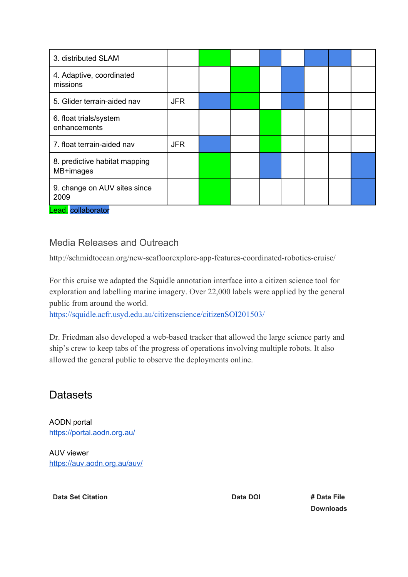| 3. distributed SLAM                        |            |  |  |  |  |
|--------------------------------------------|------------|--|--|--|--|
| 4. Adaptive, coordinated<br>missions       |            |  |  |  |  |
| 5. Glider terrain-aided nav                | <b>JFR</b> |  |  |  |  |
| 6. float trials/system<br>enhancements     |            |  |  |  |  |
| 7. float terrain-aided nav                 | <b>JFR</b> |  |  |  |  |
| 8. predictive habitat mapping<br>MB+images |            |  |  |  |  |
| 9. change on AUV sites since<br>2009       |            |  |  |  |  |

Lead, collaborator

## Media Releases and Outreach

http://schmidtocean.org/new-seafloorexplore-app-features-coordinated-robotics-cruise/

For this cruise we adapted the Squidle annotation interface into a citizen science tool for exploration and labelling marine imagery. Over 22,000 labels were applied by the general public from around the world.

<https://squidle.acfr.usyd.edu.au/citizenscience/citizenSOI201503/>

Dr. Friedman also developed a web-based tracker that allowed the large science party and ship's crew to keep tabs of the progress of operations involving multiple robots. It also allowed the general public to observe the deployments online.

# Datasets

AODN portal <https://portal.aodn.org.au/>

AUV viewer <https://auv.aodn.org.au/auv/>

**Data Set Citation Data DOI # Data File** 

**Downloads**